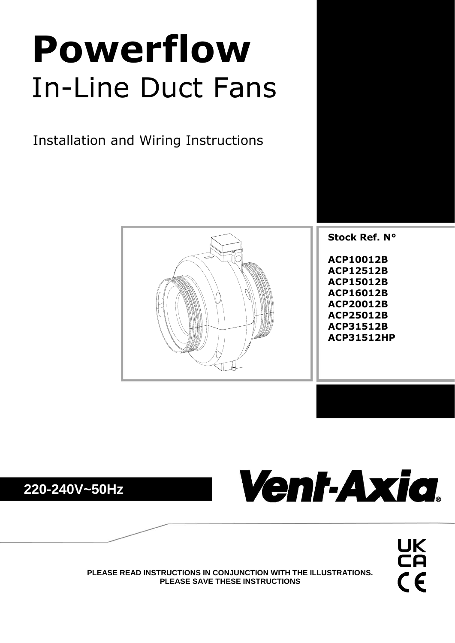# **Powerflow** In-Line Duct Fans

Installation and Wiring Instructions







UK<br>CA  $C<sub>f</sub>$ 

**PLEASE READ INSTRUCTIONS IN CONJUNCTION WITH THE ILLUSTRATIONS. PLEASE SAVE THESE INSTRUCTIONS**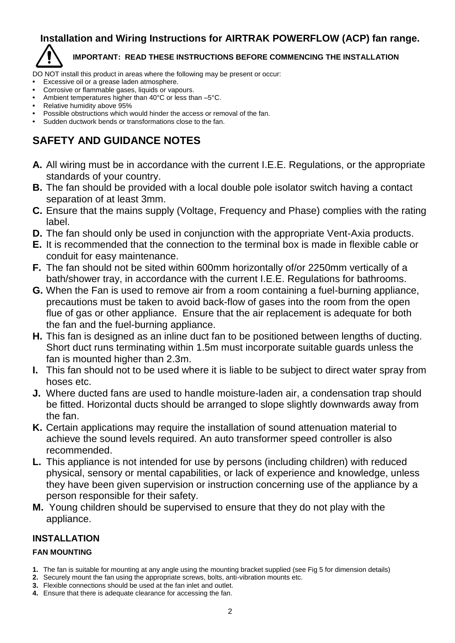# **Installation and Wiring Instructions for AIRTRAK POWERFLOW (ACP) fan range.**

## **IMPORTANT: READ THESE INSTRUCTIONS BEFORE COMMENCING THE INSTALLATION**

DO NOT install this product in areas where the following may be present or occur:

- **•** Excessive oil or a grease laden atmosphere.
- **•** Corrosive or flammable gases, liquids or vapours.
- **•** Ambient temperatures higher than 40°C or less than –5°C.
- **•** Relative humidity above 95%
- **•** Possible obstructions which would hinder the access or removal of the fan.
- **•** Sudden ductwork bends or transformations close to the fan.

# **SAFETY AND GUIDANCE NOTES**

- **A.** All wiring must be in accordance with the current I.E.E. Regulations, or the appropriate standards of your country.
- **B.** The fan should be provided with a local double pole isolator switch having a contact separation of at least 3mm.
- **C.** Ensure that the mains supply (Voltage, Frequency and Phase) complies with the rating label.
- **D.** The fan should only be used in conjunction with the appropriate Vent-Axia products.
- **E.** It is recommended that the connection to the terminal box is made in flexible cable or conduit for easy maintenance.
- **F.** The fan should not be sited within 600mm horizontally of/or 2250mm vertically of a bath/shower tray, in accordance with the current I.E.E. Regulations for bathrooms.
- **G.** When the Fan is used to remove air from a room containing a fuel-burning appliance, precautions must be taken to avoid back-flow of gases into the room from the open flue of gas or other appliance. Ensure that the air replacement is adequate for both the fan and the fuel-burning appliance.
- **H.** This fan is designed as an inline duct fan to be positioned between lengths of ducting. Short duct runs terminating within 1.5m must incorporate suitable guards unless the fan is mounted higher than 2.3m.
- **I.** This fan should not to be used where it is liable to be subject to direct water spray from hoses etc.
- **J.** Where ducted fans are used to handle moisture-laden air, a condensation trap should be fitted. Horizontal ducts should be arranged to slope slightly downwards away from the fan.
- **K.** Certain applications may require the installation of sound attenuation material to achieve the sound levels required. An auto transformer speed controller is also recommended.
- **L.** This appliance is not intended for use by persons (including children) with reduced physical, sensory or mental capabilities, or lack of experience and knowledge, unless they have been given supervision or instruction concerning use of the appliance by a person responsible for their safety.
- **M.** Young children should be supervised to ensure that they do not play with the appliance.

# **INSTALLATION**

# **FAN MOUNTING**

- **1.** The fan is suitable for mounting at any angle using the mounting bracket supplied (see Fig 5 for dimension details)
- **2.** Securely mount the fan using the appropriate screws, bolts, anti-vibration mounts etc.
- **3.** Flexible connections should be used at the fan inlet and outlet.
- **4.** Ensure that there is adequate clearance for accessing the fan.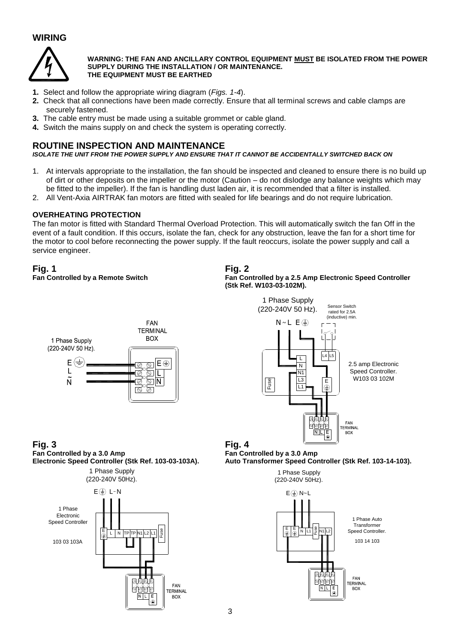# **WIRING**



#### **WARNING: THE FAN AND ANCILLARY CONTROL EQUIPMENT MUST BE ISOLATED FROM THE POWER SUPPLY DURING THE INSTALLATION / OR MAINTENANCE. THE EQUIPMENT MUST BE EARTHED**

- **1.** Select and follow the appropriate wiring diagram (*Figs. 1-4*).
- **2.** Check that all connections have been made correctly. Ensure that all terminal screws and cable clamps are securely fastened.
- **3.** The cable entry must be made using a suitable grommet or cable gland.
- **4.** Switch the mains supply on and check the system is operating correctly.

## **ROUTINE INSPECTION AND MAINTENANCE**

*ISOLATE THE UNIT FROM THE POWER SUPPLY AND ENSURE THAT IT CANNOT BE ACCIDENTALLY SWITCHED BACK ON*

- 1. At intervals appropriate to the installation, the fan should be inspected and cleaned to ensure there is no build up of dirt or other deposits on the impeller or the motor (Caution – do not dislodge any balance weights which may be fitted to the impeller). If the fan is handling dust laden air, it is recommended that a filter is installed.
- 2. All Vent-Axia AIRTRAK fan motors are fitted with sealed for life bearings and do not require lubrication.

#### **OVERHEATING PROTECTION**

The fan motor is fitted with Standard Thermal Overload Protection. This will automatically switch the fan Off in the event of a fault condition. If this occurs, isolate the fan, check for any obstruction, leave the fan for a short time for the motor to cool before reconnecting the power supply. If the fault reoccurs, isolate the power supply and call a service engineer.

# **Fig. 1 Fig. 2**



# **Fan Controlled by a Remote Switch Fan Controlled by a 2.5 Amp Electronic Speed Controller (Stk Ref. W103-03-102M).**



**Fig. 3 Fig. 4** Fan Controlled by a 3.0 Amp Fan Controlled by a 3.0 Amp



**Electronic Speed Controller (Stk Ref. 103-03-103A). Auto Transformer Speed Controller (Stk Ref. 103-14-103).**